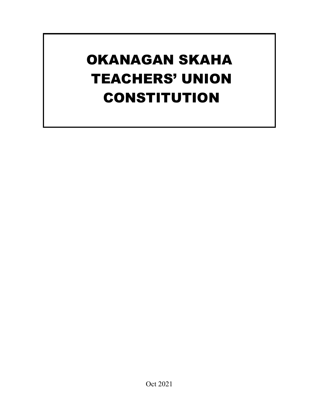# OKANAGAN SKAHA TEACHERS' UNION CONSTITUTION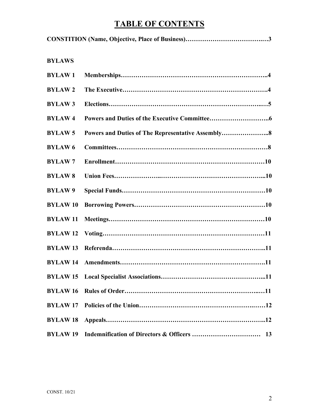# **TABLE OF CONTENTS**

| <b>BYLAWS</b>   |                                                   |
|-----------------|---------------------------------------------------|
| <b>BYLAW1</b>   |                                                   |
| <b>BYLAW2</b>   |                                                   |
| <b>BYLAW3</b>   |                                                   |
| <b>BYLAW4</b>   |                                                   |
| <b>BYLAW5</b>   | Powers and Duties of The Representative Assembly8 |
| <b>BYLAW6</b>   |                                                   |
| <b>BYLAW7</b>   |                                                   |
| <b>BYLAW8</b>   |                                                   |
| <b>BYLAW9</b>   |                                                   |
| <b>BYLAW10</b>  |                                                   |
| <b>BYLAW11</b>  |                                                   |
| <b>BYLAW12</b>  |                                                   |
| <b>BYLAW13</b>  |                                                   |
|                 |                                                   |
|                 |                                                   |
| <b>BYLAW16</b>  |                                                   |
| <b>BYLAW17</b>  |                                                   |
| <b>BYLAW18</b>  |                                                   |
| <b>BYLAW 19</b> |                                                   |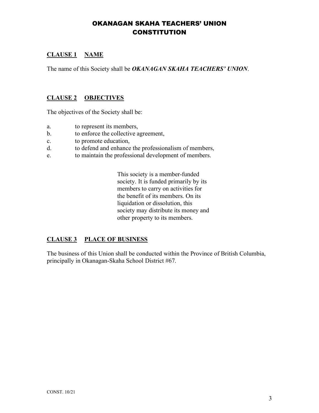## OKANAGAN SKAHA TEACHERS' UNION **CONSTITUTION**

### **CLAUSE 1 NAME**

The name of this Society shall be *OKANAGAN SKAHA TEACHERS' UNION*.

#### **CLAUSE 2 OBJECTIVES**

The objectives of the Society shall be:

- a. to represent its members,
- b. to enforce the collective agreement,
- c. to promote education,
- d. to defend and enhance the professionalism of members,
- e. to maintain the professional development of members.

This society is a member-funded society. It is funded primarily by its members to carry on activities for the benefit of its members. On its liquidation or dissolution, this society may distribute its money and other property to its members.

#### **CLAUSE 3 PLACE OF BUSINESS**

The business of this Union shall be conducted within the Province of British Columbia, principally in Okanagan-Skaha School District #67.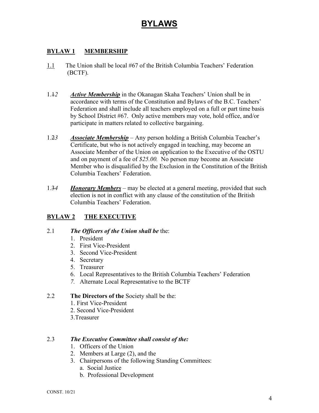## **BYLAWS**

#### **BYLAW 1 MEMBERSHIP**

- 1.1 The Union shall be local #67 of the British Columbia Teachers' Federation (BCTF).
- 1.1*2 Active Membership* in the Okanagan Skaha Teachers' Union shall be in accordance with terms of the Constitution and Bylaws of the B.C. Teachers' Federation and shall include all teachers employed on a full or part time basis by School District #67. Only active members may vote, hold office, and/or participate in matters related to collective bargaining.
- 1.2*3 Associate Membership* Any person holding a British Columbia Teacher's Certificate, but who is not actively engaged in teaching, may become an Associate Member of the Union on application to the Executive of the OSTU and on payment of a fee of *\$25.00.* No person may become an Associate Member who is disqualified by the Exclusion in the Constitution of the British Columbia Teachers' Federation.
- 1.3*4 Honorary Members* may be elected at a general meeting, provided that such election is not in conflict with any clause of the constitution of the British Columbia Teachers' Federation.

## **BYLAW 2 THE EXECUTIVE**

#### 2.1 *The Officers of the Union shall be* the:

- 1. President
- 2. First Vice-President
- 3. Second Vice-President
- 4. Secretary
- 5. Treasurer
- 6. Local Representatives to the British Columbia Teachers' Federation
- *7.* Alternate Local Representative to the BCTF

#### 2.2 **The Directors of the** Society shall be the:

- 1. First Vice-President
- 2. Second Vice-President
- 3.Treasurer

#### 2.3 *The Executive Committee shall consist of the:*

- 1. Officers of the Union
- 2. Members at Large (2), and the
- 3. Chairpersons of the following Standing Committees:
	- a. Social Justice
	- b. Professional Development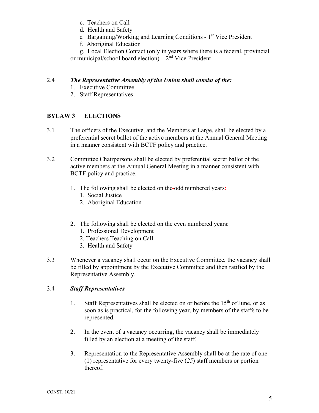- c. Teachers on Call
- d. Health and Safety
- e*.* Bargaining/Working and Learning Conditions 1st Vice President
- f*.* Aboriginal Education

g. Local Election Contact (only in years where there is a federal, provincial or municipal/school board election) –  $2<sup>nd</sup>$  Vice President

#### 2.4 *The Representative Assembly of the Union shall consist of the:*

- 1. Executive Committee
- 2. Staff Representatives

## **BYLAW 3 ELECTIONS**

- 3.1 The officers of the Executive, and the Members at Large, shall be elected by a preferential secret ballot of the active members at the Annual General Meeting in a manner consistent with BCTF policy and practice.
- 3.2 Committee Chairpersons shall be elected by preferential secret ballot of the active members at the Annual General Meeting in a manner consistent with BCTF policy and practice.
	- 1. The following shall be elected on the odd numbered years:
		- 1. Social Justice
		- 2. Aboriginal Education
	- 2. The following shall be elected on the even numbered years:
		- 1. Professional Development
		- 2. Teachers Teaching on Call
		- 3. Health and Safety
- 3.3 Whenever a vacancy shall occur on the Executive Committee, the vacancy shall be filled by appointment by the Executive Committee and then ratified by the Representative Assembly.

#### 3.4 *Staff Representatives*

- 1. Staff Representatives shall be elected on or before the  $15<sup>th</sup>$  of June, or as soon as is practical, for the following year, by members of the staffs to be represented.
- 2. In the event of a vacancy occurring, the vacancy shall be immediately filled by an election at a meeting of the staff.
- 3. Representation to the Representative Assembly shall be at the rate of one (1) representative for every twenty-five (*25*) staff members or portion thereof.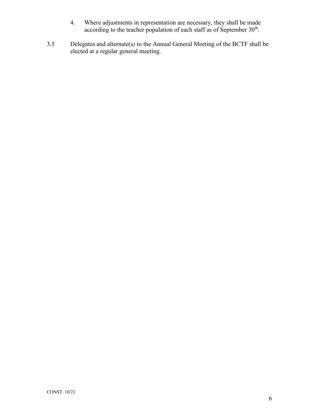- 4. Where adjustments in representation are necessary, they shall be made according to the teacher population of each staff as of September  $30^{\text{th}}$ .
- 3.5 Delegates and alternate(s*)* to the Annual General Meeting of the BCTF shall be elected at a regular general meeting.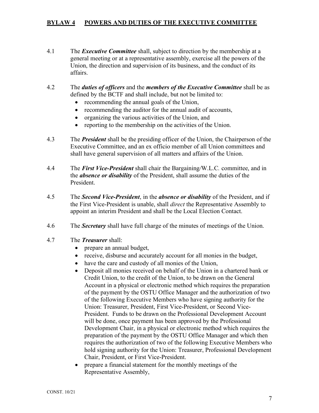#### **BYLAW 4 POWERS AND DUTIES OF THE EXECUTIVE COMMITTEE**

- 4.1 The *Executive Committee* shall, subject to direction by the membership at a general meeting or at a representative assembly, exercise all the powers of the Union, the direction and supervision of its business, and the conduct of its affairs.
- 4.2 The *duties of officers* and the *members of the Executive Committee* shall be as defined by the BCTF and shall include, but not be limited to:
	- recommending the annual goals of the Union,
	- recommending the auditor for the annual audit of accounts,
	- organizing the various activities of the Union, and
	- reporting to the membership on the activities of the Union.
- 4.3 The *President* shall be the presiding officer of the Union, the Chairperson of the Executive Committee, and an ex officio member of all Union committees and shall have general supervision of all matters and affairs of the Union.
- 4.4 The *First Vice-President* shall chair the Bargaining*/*W.L.C*.* committee, and in the *absence or disability* of the President, shall assume the duties of the President.
- 4.5 The *Second Vice-President*, in the *absence or disability* of the President, and if the First Vice-President is unable, shall *direct* the Representative Assembly to appoint an interim President and shall be the Local Election Contact.
- 4.6 The *Secretary* shall have full charge of the minutes of meetings of the Union.
- 4.7 The *Treasurer* shall:
	- prepare an annual budget,
	- receive, disburse and accurately account for all monies in the budget,
	- have the care and custody of all monies of the Union,
	- Deposit all monies received on behalf of the Union in a chartered bank or Credit Union, to the credit of the Union, to be drawn on the General Account in a physical or electronic method which requires the preparation of the payment by the OSTU Office Manager and the authorization of two of the following Executive Members who have signing authority for the Union: Treasurer, President, First Vice-President, or Second Vice-President. Funds to be drawn on the Professional Development Account will be done, once payment has been approved by the Professional Development Chair, in a physical or electronic method which requires the preparation of the payment by the OSTU Office Manager and which then requires the authorization of two of the following Executive Members who hold signing authority for the Union: Treasurer, Professional Development Chair, President, or First Vice-President.
	- prepare a financial statement for the monthly meetings of the Representative Assembly,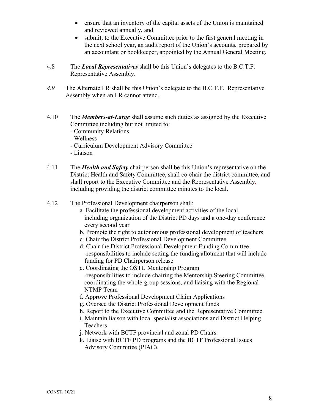- ensure that an inventory of the capital assets of the Union is maintained and reviewed annually, and
- submit, to the Executive Committee prior to the first general meeting in the next school year, an audit report of the Union's accounts, prepared by an accountant or bookkeeper, appointed by the Annual General Meeting.
- 4.8 The *Local Representatives* shall be this Union's delegates to the B.C.T.F. Representative Assembly.
- *4.9* The Alternate LR shall be this Union's delegate to the B.C.T.F. Representative Assembly when an LR cannot attend.
- 4.10 The *Members-at-Large* shall assume such duties as assigned by the Executive Committee including but not limited to:
	- Community Relations
	- Wellness
	- Curriculum Development Advisory Committee
	- Liaison
- 4.11 The *Health and Safety* chairperson shall be this Union's representative on the District Health and Safety Committee, shall co-chair the district committee, and shall report to the Executive Committee and the Representative Assembly*,*  including providing the district committee minutes to the local.
- 4.12 The Professional Development chairperson shall:
	- a. Facilitate the professional development activities of the local including organization of the District PD days and a one-day conference every second year
	- b. Promote the right to autonomous professional development of teachers
	- c. Chair the District Professional Development Committee
	- d. Chair the District Professional Development Funding Committee -responsibilities to include setting the funding allotment that will include funding for PD Chairperson release
	- e. Coordinating the OSTU Mentorship Program -responsibilities to include chairing the Mentorship Steering Committee, coordinating the whole-group sessions, and liaising with the Regional NTMP Team
	- f. Approve Professional Development Claim Applications
	- g. Oversee the District Professional Development funds
	- h. Report to the Executive Committee and the Representative Committee
	- i. Maintain liaison with local specialist associations and District Helping Teachers
	- j. Network with BCTF provincial and zonal PD Chairs
	- k. Liaise with BCTF PD programs and the BCTF Professional Issues Advisory Committee (PIAC).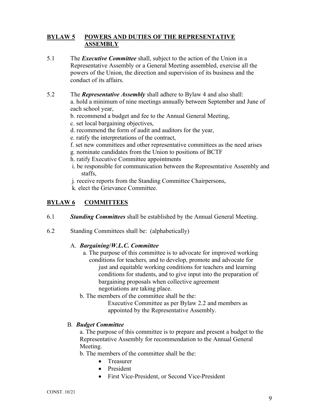#### **BYLAW 5 POWERS AND DUTIES OF THE REPRESENTATIVE ASSEMBLY**

- 5.1 The *Executive Committee* shall, subject to the action of the Union in a Representative Assembly or a General Meeting assembled, exercise all the powers of the Union, the direction and supervision of its business and the conduct of its affairs.
- 5.2 The *Representative Assembly* shall adhere to Bylaw 4 and also shall: a. hold a minimum of nine meetings annually between September and June of each school year,
	- b. recommend a budget and fee to the Annual General Meeting,
	- c. set local bargaining objectives,
	- d. recommend the form of audit and auditors for the year,
	- e. ratify the interpretations of the contract,
	- f. set new committees and other representative committees as the need arises
	- g*.* nominate candidates from the Union to positions of BCTF
	- h. ratify Executive Committee appointments
	- i. be responsible for communication between the Representative Assembly and staffs,
	- j*.* receive reports from the Standing Committee Chairpersons,
	- k*.* elect the Grievance Committee.

## **BYLAW 6 COMMITTEES**

- 6.1 *Standing Committees* shall be established by the Annual General Meeting.
- 6.2 Standing Committees shall be: (alphabetically)

#### A. *Bargaining***/***W.L.C. Committee*

- a*.* The purpose of this committee is to advocate for improved working conditions for teachers*,* and to develop, promote and advocate for just and equitable working conditions for teachers and learning conditions for students, and to give input into the preparation of bargaining proposals when collective agreement negotiations are taking place.
- b. The members of the committee shall be the:

Executive Committee as per Bylaw 2.2 and members as appointed by the Representative Assembly.

#### B*. Budget Committee*

a. The purpose of this committee is to prepare and present a budget to the Representative Assembly for recommendation to the Annual General Meeting.

b. The members of the committee shall be the:

- Treasurer
- President
- First Vice-President, or Second Vice-President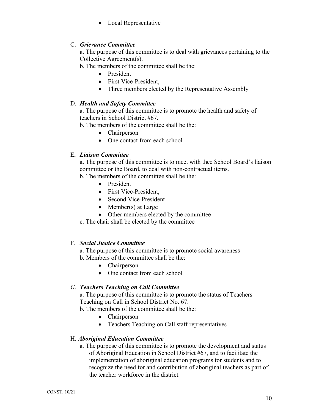• Local Representative

#### C. *Grievance Committee*

a. The purpose of this committee is to deal with grievances pertaining to the Collective Agreement(s).

b. The members of the committee shall be the:

- President
- First Vice-President.
- Three members elected by the Representative Assembly

#### D. *Health and Safety Committee*

a. The purpose of this committee is to promote the health and safety of teachers in School District #67.

b. The members of the committee shall be the:

- Chairperson
- One contact from each school

#### E**.** *Liaison Committee*

a. The purpose of this committee is to meet with thee School Board's liaison committee or the Board, to deal with non-contractual items.

b. The members of the committee shall be the:

- President
- First Vice-President,
- Second Vice-President
- Member(s) at Large
- Other members elected by the committee

c. The chair shall be elected by the committee

#### F. *Social Justice Committee*

a. The purpose of this committee is to promote social awareness b. Members of the committee shall be the:

- Chairperson
- One contact from each school

#### *G*. *Teachers Teaching on Call Committee*

a. The purpose of this committee is to promote the status of Teachers Teaching on Call in School District No. 67.

b. The members of the committee shall be the:

- Chairperson
- Teachers Teaching on Call staff representatives

#### H. *Aboriginal Education Committee*

a. The purpose of this committee is to promote the development and status of Aboriginal Education in School District #67, and to facilitate the implementation of aboriginal education programs for students and to recognize the need for and contribution of aboriginal teachers as part of the teacher workforce in the district.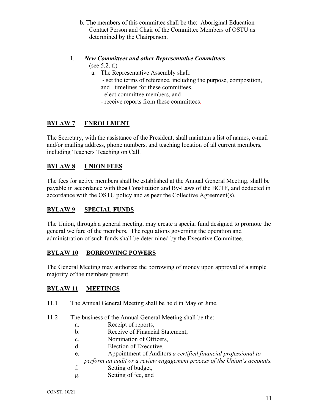b. The members of this committee shall be the: Aboriginal Education Contact Person and Chair of the Committee Members of OSTU as determined by the Chairperson.

#### I. *New Committees and other Representative Committees* (see 5.2. f.)

- a. The Representative Assembly shall: - set the terms of reference, including the purpose, composition,
	- and timelines for these committees,
	- elect committee members, and
	- receive reports from these committees.

## **BYLAW 7 ENROLLMENT**

The Secretary, with the assistance of the President, shall maintain a list of names, e-mail and/or mailing address, phone numbers, and teaching location of all current members, including Teachers Teaching on Call.

## **BYLAW 8 UNION FEES**

The fees for active members shall be established at the Annual General Meeting, shall be payable in accordance with thee Constitution and By-Laws of the BCTF, and deducted in accordance with the OSTU policy and as peer the Collective Agreement(s).

## **BYLAW 9 SPECIAL FUNDS**

The Union, through a general meeting, may create a special fund designed to promote the general welfare of the members. The regulations governing the operation and administration of such funds shall be determined by the Executive Committee.

#### **BYLAW 10 BORROWING POWERS**

The General Meeting may authorize the borrowing of money upon approval of a simple majority of the members present.

## **BYLAW 11 MEETINGS**

- 11.1 The Annual General Meeting shall be held in May or June.
- 11.2 The business of the Annual General Meeting shall be the:
	- a. Receipt of reports,
	- b. Receive of Financial Statement,
	- c. Nomination of Officers,
	- d. Election of Executive,
	- e. Appointment of Auditors *a certified financial professional to*
	- *perform an audit or a review engagement process of the Union's accounts.*
	- f. Setting of budget,
	- g. Setting of fee, and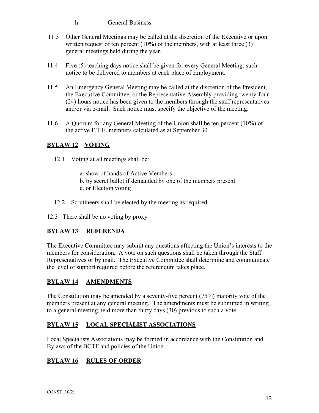h. General Business

- 11.3 Other General Meetings may be called at the discretion of the Executive or upon written request of ten percent  $(10\%)$  of the members, with at least three  $(3)$ general meetings held during the year.
- 11.4 Five (5) teaching days notice shall be given for every General Meeting; such notice to be delivered to members at each place of employment.
- 11.5 An Emergency General Meeting may be called at the discretion of the President, the Executive Committee, or the Representative Assembly providing twenty-four (24) hours notice has been given to the members through the staff representatives and/or via e-mail. Such notice must specify the objective of the meeting.
- 11.6 A Quorum for any General Meeting of the Union shall be ten percent (10%) of the active F.T.E. members calculated as at September 30.

## **BYLAW 12 VOTING**

- 12.1 Voting at all meetings shall be*:*
	- a. show of hands of Active Members
	- b. by secret ballot if demanded by one of the members present
	- c. or Election voting
- 12.2 Scrutineers shall be elected by the meeting as required.
- 12.3 There shall be no voting by proxy.

## **BYLAW 13 REFERENDA**

The Executive Committee may submit any questions affecting the Union's interests to the members for consideration. A vote on such questions shall be taken through the Staff Representatives or by mail. The Executive Committee shall determine and communicate the level of support required before the referendum takes place.

## **BYLAW 14 AMENDMENTS**

The Constitution may be amended by a seventy-five percent (75%) majority vote of the members present at any general meeting. The amendments must be submitted in writing to a general meeting held more than thirty days (30) previous to such a vote.

## **BYLAW 15 LOCAL SPECIALIST ASSOCIATIONS**

Local Specialists Associations may be formed in accordance with the Constitution and Bylaws of the BCTF and policies of the Union.

## **BYLAW 16 RULES OF ORDER**